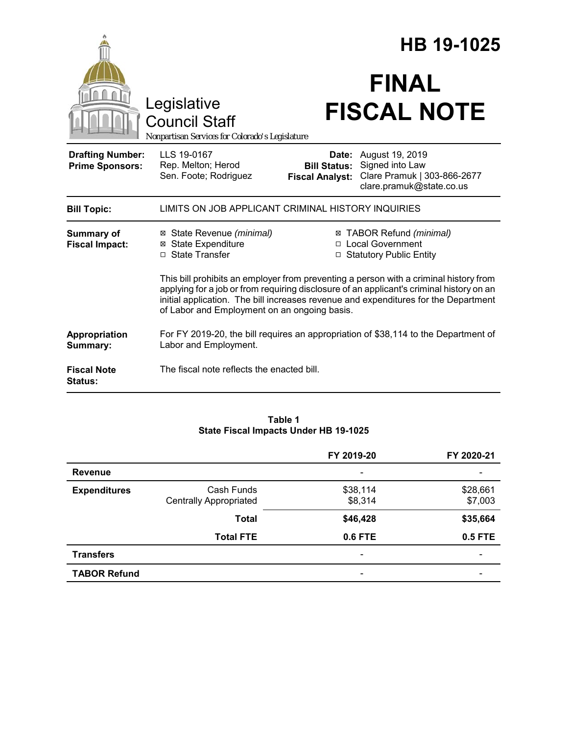|                                                   |                                                                                                                                                                                                                                                                                                                          | HB 19-1025                                             |                                                                                               |  |
|---------------------------------------------------|--------------------------------------------------------------------------------------------------------------------------------------------------------------------------------------------------------------------------------------------------------------------------------------------------------------------------|--------------------------------------------------------|-----------------------------------------------------------------------------------------------|--|
|                                                   | Legislative<br><b>Council Staff</b><br>Nonpartisan Services for Colorado's Legislature                                                                                                                                                                                                                                   |                                                        | <b>FINAL</b><br><b>FISCAL NOTE</b>                                                            |  |
| <b>Drafting Number:</b><br><b>Prime Sponsors:</b> | LLS 19-0167<br>Rep. Melton; Herod<br>Sen. Foote; Rodriguez                                                                                                                                                                                                                                                               | Date:<br><b>Bill Status:</b><br><b>Fiscal Analyst:</b> | August 19, 2019<br>Signed into Law<br>Clare Pramuk   303-866-2677<br>clare.pramuk@state.co.us |  |
| <b>Bill Topic:</b>                                | LIMITS ON JOB APPLICANT CRIMINAL HISTORY INQUIRIES                                                                                                                                                                                                                                                                       |                                                        |                                                                                               |  |
| Summary of<br><b>Fiscal Impact:</b>               | ⊠ State Revenue (minimal)<br><b>⊠</b> State Expenditure<br>□ State Transfer                                                                                                                                                                                                                                              |                                                        | ⊠ TABOR Refund (minimal)<br>□ Local Government<br>□ Statutory Public Entity                   |  |
|                                                   | This bill prohibits an employer from preventing a person with a criminal history from<br>applying for a job or from requiring disclosure of an applicant's criminal history on an<br>initial application. The bill increases revenue and expenditures for the Department<br>of Labor and Employment on an ongoing basis. |                                                        |                                                                                               |  |
| Appropriation<br>Summary:                         | For FY 2019-20, the bill requires an appropriation of \$38,114 to the Department of<br>Labor and Employment.                                                                                                                                                                                                             |                                                        |                                                                                               |  |
| <b>Fiscal Note</b><br><b>Status:</b>              | The fiscal note reflects the enacted bill.                                                                                                                                                                                                                                                                               |                                                        |                                                                                               |  |

### **Table 1 State Fiscal Impacts Under HB 19-1025**

|                     |                               | FY 2019-20                   | FY 2020-21 |
|---------------------|-------------------------------|------------------------------|------------|
| <b>Revenue</b>      |                               |                              |            |
| <b>Expenditures</b> | Cash Funds                    | \$38,114                     | \$28,661   |
|                     | <b>Centrally Appropriated</b> | \$8,314                      | \$7,003    |
|                     | <b>Total</b>                  | \$46,428                     | \$35,664   |
|                     | <b>Total FTE</b>              | <b>0.6 FTE</b>               | 0.5 FTE    |
| <b>Transfers</b>    |                               | $\qquad \qquad \blacksquare$ |            |
| <b>TABOR Refund</b> |                               | $\overline{\phantom{0}}$     |            |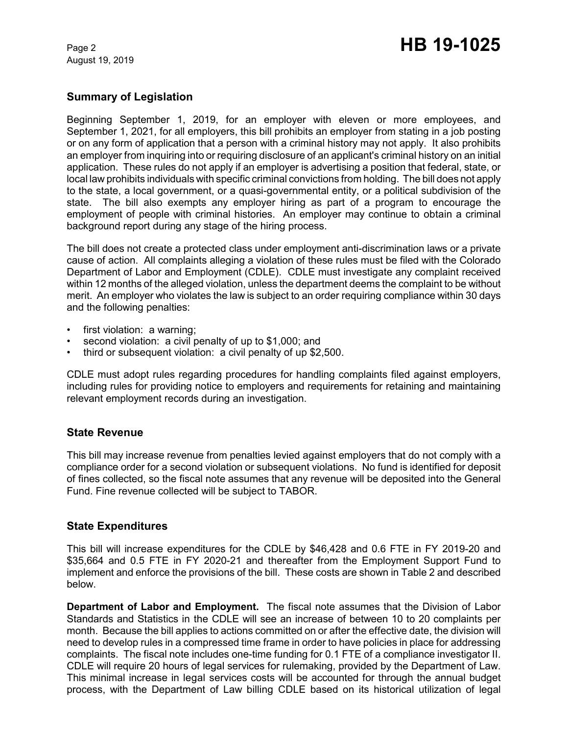August 19, 2019

## **Summary of Legislation**

Beginning September 1, 2019, for an employer with eleven or more employees, and September 1, 2021, for all employers, this bill prohibits an employer from stating in a job posting or on any form of application that a person with a criminal history may not apply. It also prohibits an employer from inquiring into or requiring disclosure of an applicant's criminal history on an initial application. These rules do not apply if an employer is advertising a position that federal, state, or local law prohibits individuals with specific criminal convictions from holding. The bill does not apply to the state, a local government, or a quasi-governmental entity, or a political subdivision of the state. The bill also exempts any employer hiring as part of a program to encourage the employment of people with criminal histories. An employer may continue to obtain a criminal background report during any stage of the hiring process.

The bill does not create a protected class under employment anti-discrimination laws or a private cause of action. All complaints alleging a violation of these rules must be filed with the Colorado Department of Labor and Employment (CDLE). CDLE must investigate any complaint received within 12 months of the alleged violation, unless the department deems the complaint to be without merit. An employer who violates the law is subject to an order requiring compliance within 30 days and the following penalties:

- first violation: a warning;
- second violation: a civil penalty of up to \$1,000; and
- third or subsequent violation: a civil penalty of up \$2,500.

CDLE must adopt rules regarding procedures for handling complaints filed against employers, including rules for providing notice to employers and requirements for retaining and maintaining relevant employment records during an investigation.

### **State Revenue**

This bill may increase revenue from penalties levied against employers that do not comply with a compliance order for a second violation or subsequent violations. No fund is identified for deposit of fines collected, so the fiscal note assumes that any revenue will be deposited into the General Fund. Fine revenue collected will be subject to TABOR.

### **State Expenditures**

This bill will increase expenditures for the CDLE by \$46,428 and 0.6 FTE in FY 2019-20 and \$35,664 and 0.5 FTE in FY 2020-21 and thereafter from the Employment Support Fund to implement and enforce the provisions of the bill. These costs are shown in Table 2 and described below.

**Department of Labor and Employment.** The fiscal note assumes that the Division of Labor Standards and Statistics in the CDLE will see an increase of between 10 to 20 complaints per month. Because the bill applies to actions committed on or after the effective date, the division will need to develop rules in a compressed time frame in order to have policies in place for addressing complaints. The fiscal note includes one-time funding for 0.1 FTE of a compliance investigator II. CDLE will require 20 hours of legal services for rulemaking, provided by the Department of Law. This minimal increase in legal services costs will be accounted for through the annual budget process, with the Department of Law billing CDLE based on its historical utilization of legal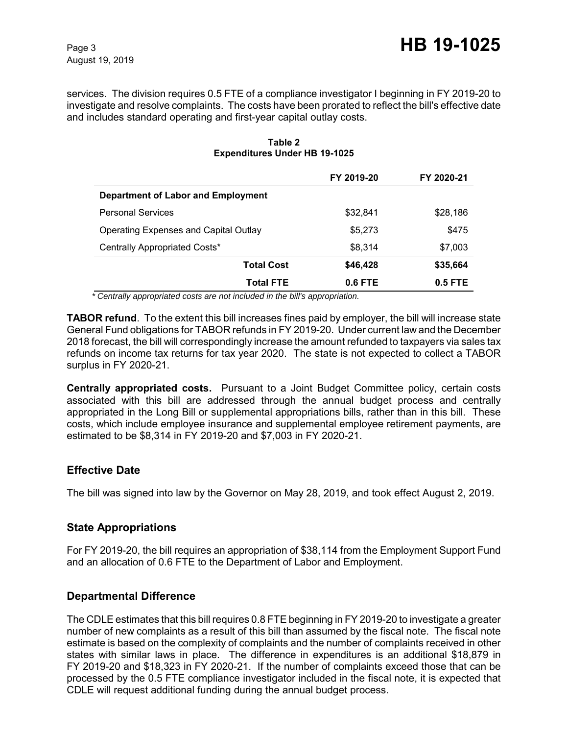August 19, 2019

services. The division requires 0.5 FTE of a compliance investigator I beginning in FY 2019-20 to investigate and resolve complaints. The costs have been prorated to reflect the bill's effective date and includes standard operating and first-year capital outlay costs.

|                                       | FY 2019-20 | FY 2020-21 |
|---------------------------------------|------------|------------|
| Department of Labor and Employment    |            |            |
| <b>Personal Services</b>              | \$32,841   | \$28,186   |
| Operating Expenses and Capital Outlay | \$5,273    | \$475      |
| Centrally Appropriated Costs*         | \$8,314    | \$7,003    |
| Total Cost                            | \$46,428   | \$35,664   |
| <b>Total FTE</b>                      | 0.6 FTE    | $0.5$ FTE  |

#### **Table 2 Expenditures Under HB 19-1025**

 *\* Centrally appropriated costs are not included in the bill's appropriation.*

**TABOR refund**. To the extent this bill increases fines paid by employer, the bill will increase state General Fund obligations for TABOR refunds in FY 2019-20. Under current law and the December 2018 forecast, the bill will correspondingly increase the amount refunded to taxpayers via sales tax refunds on income tax returns for tax year 2020. The state is not expected to collect a TABOR surplus in FY 2020-21.

**Centrally appropriated costs.** Pursuant to a Joint Budget Committee policy, certain costs associated with this bill are addressed through the annual budget process and centrally appropriated in the Long Bill or supplemental appropriations bills, rather than in this bill. These costs, which include employee insurance and supplemental employee retirement payments, are estimated to be \$8,314 in FY 2019-20 and \$7,003 in FY 2020-21.

# **Effective Date**

The bill was signed into law by the Governor on May 28, 2019, and took effect August 2, 2019.

# **State Appropriations**

For FY 2019-20, the bill requires an appropriation of \$38,114 from the Employment Support Fund and an allocation of 0.6 FTE to the Department of Labor and Employment.

# **Departmental Difference**

The CDLE estimates that this bill requires 0.8 FTE beginning in FY 2019-20 to investigate a greater number of new complaints as a result of this bill than assumed by the fiscal note. The fiscal note estimate is based on the complexity of complaints and the number of complaints received in other states with similar laws in place. The difference in expenditures is an additional \$18,879 in FY 2019-20 and \$18,323 in FY 2020-21. If the number of complaints exceed those that can be processed by the 0.5 FTE compliance investigator included in the fiscal note, it is expected that CDLE will request additional funding during the annual budget process.